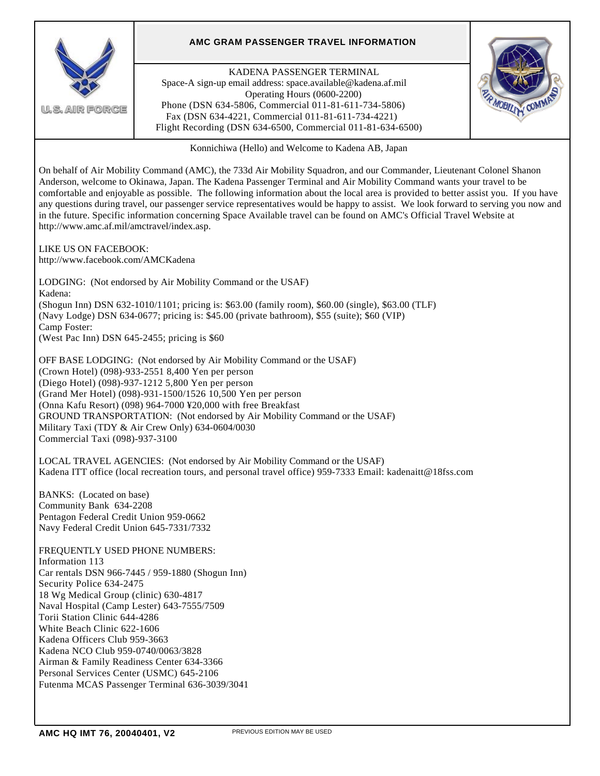

On behalf of Air Mobility Command (AMC), the 733d Air Mobility Squadron, and our Commander, Lieutenant Colonel Shanon Anderson, welcome to Okinawa, Japan. The Kadena Passenger Terminal and Air Mobility Command wants your travel to be comfortable and enjoyable as possible. The following information about the local area is provided to better assist you. If you have any questions during travel, our passenger service representatives would be happy to assist. We look forward to serving you now and in the future. Specific information concerning Space Available travel can be found on AMC's Official Travel Website at http://www.amc.af.mil/amctravel/index.asp.

LIKE US ON FACEBOOK: http://www.facebook.com/AMCKadena

LODGING: (Not endorsed by Air Mobility Command or the USAF) Kadena: (Shogun Inn) DSN 632-1010/1101; pricing is: \$63.00 (family room), \$60.00 (single), \$63.00 (TLF) (Navy Lodge) DSN 634-0677; pricing is: \$45.00 (private bathroom), \$55 (suite); \$60 (VIP) Camp Foster: (West Pac Inn) DSN 645-2455; pricing is \$60

OFF BASE LODGING: (Not endorsed by Air Mobility Command or the USAF) (Crown Hotel) (098)-933-2551 8,400 Yen per person (Diego Hotel) (098)-937-1212 5,800 Yen per person (Grand Mer Hotel) (098)-931-1500/1526 10,500 Yen per person (Onna Kafu Resort) (098) 964-7000 ¥20,000 with free Breakfast GROUND TRANSPORTATION: (Not endorsed by Air Mobility Command or the USAF) Military Taxi (TDY & Air Crew Only) 634-0604/0030 Commercial Taxi (098)-937-3100

LOCAL TRAVEL AGENCIES: (Not endorsed by Air Mobility Command or the USAF) Kadena ITT office (local recreation tours, and personal travel office) 959-7333 Email: kadenaitt@18fss.com

BANKS: (Located on base) Community Bank 634-2208 Pentagon Federal Credit Union 959-0662 Navy Federal Credit Union 645-7331/7332

FREQUENTLY USED PHONE NUMBERS: Information 113 Car rentals DSN 966-7445 / 959-1880 (Shogun Inn) Security Police 634-2475 18 Wg Medical Group (clinic) 630-4817 Naval Hospital (Camp Lester) 643-7555/7509 Torii Station Clinic 644-4286 White Beach Clinic 622-1606 Kadena Officers Club 959-3663 Kadena NCO Club 959-0740/0063/3828 Airman & Family Readiness Center 634-3366 Personal Services Center (USMC) 645-2106 Futenma MCAS Passenger Terminal 636-3039/3041